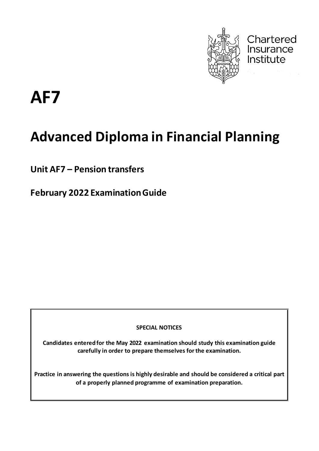

Chartered Insurance Institute

**AF7**

# **Advanced Diploma in Financial Planning**

**Unit AF7 – Pension transfers**

**February 2022 Examination Guide**

**SPECIAL NOTICES**

**Candidates entered for the May 2022 examination should study this examination guide carefully in order to prepare themselves for the examination.**

**Practice in answering the questions is highly desirable and should be considered a critical part of a properly planned programme of examination preparation.**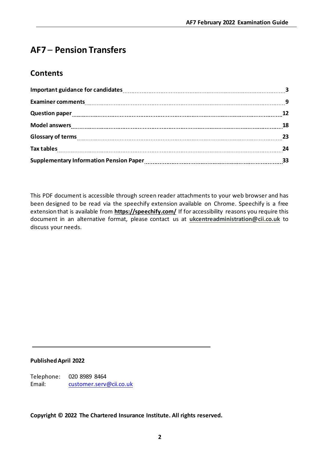# **AF7** – **Pension Transfers**

# **Contents**

| Question paper 12 married and the context of the context of the context of the context of the context of the context of the context of the context of the context of the context of the context of the context of the context |  |
|-------------------------------------------------------------------------------------------------------------------------------------------------------------------------------------------------------------------------------|--|
|                                                                                                                                                                                                                               |  |
|                                                                                                                                                                                                                               |  |
|                                                                                                                                                                                                                               |  |
|                                                                                                                                                                                                                               |  |

This PDF document is accessible through screen reader attachments to your web browser and has been designed to be read via the speechify extension available on Chrome. Speechify is a free extension that is available from **[https://speechify.com/](https://eur02.safelinks.protection.outlook.com/?url=https%3A%2F%2Fspeechify.com%2F&data=04%7C01%7CGillian.Rockman%40cii.co.uk%7Cec75c01194ec42caab5408d9e002808a%7C9ee77b3135934471bc65c163af5cf7ec%7C0%7C0%7C637787123611149107%7CUnknown%7CTWFpbGZsb3d8eyJWIjoiMC4wLjAwMDAiLCJQIjoiV2luMzIiLCJBTiI6Ik1haWwiLCJXVCI6Mn0%3D%7C3000&sdata=ap%2BjyUfM3pdotr%2F00FKqV7pAw39Fs39e07%2BIGQJWhtw%3D&reserved=0)** If for accessibility reasons you require this document in an alternative format, please contact us at **[ukcentreadministration@cii.co.uk](mailto:ukcentreadministration@cii.co.uk)** to discuss your needs.

#### **PublishedApril 2022**

Telephone: 020 8989 8464 Email: [customer.serv@cii.co.uk](mailto:customer.serv@cii.co.uk)

**Copyright © 2022 The Chartered Insurance Institute. All rights reserved.**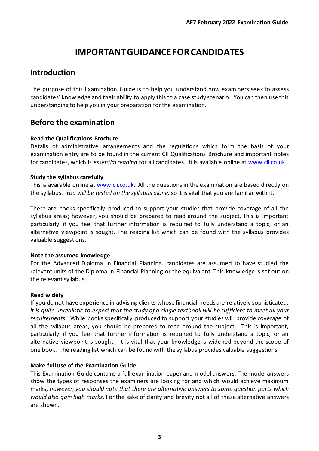# **IMPORTANT GUIDANCE FOR CANDIDATES**

# **Introduction**

The purpose of this Examination Guide is to help you understand how examiners seek to assess candidates' knowledge and their ability to apply this to a case study scenario. You can then use this understanding to help you in your preparation for the examination.

# **Before the examination**

#### **Read the Qualifications Brochure**

Details of administrative arrangements and the regulations which form the basis of your examination entry are to be found in the current CII Qualifications Brochure and important notes for candidates, which is *essential reading* for all candidates. It is available online at [www.cii.co.uk.](http://www.cii.co.uk/)

#### **Study the syllabus carefully**

This is available online at [www.cii.co.uk.](http://www.cii.co.uk/) All the questions in the examination are based directly on the syllabus. *You will be tested on the syllabus alone,* so it is vital that you are familiar with it.

There are books specifically produced to support your studies that provide coverage of all the syllabus areas; however, you should be prepared to read around the subject. This is important particularly if you feel that further information is required to fully understand a topic, or an alternative viewpoint is sought. The reading list which can be found with the syllabus provides valuable suggestions.

#### **Note the assumed knowledge**

For the Advanced Diploma in Financial Planning, candidates are assumed to have studied the relevant units of the Diploma in Financial Planning or the equivalent. This knowledge is set out on the relevant syllabus.

#### **Read widely**

If you do not have experience in advising clients whose financial needs are relatively sophisticated, *it is quite unrealistic to expect that the study of a single textbook will be sufficient to meet all your requirements.* While books specifically produced to support your studies will provide coverage of all the syllabus areas, you should be prepared to read around the subject. This is important, particularly if you feel that further information is required to fully understand a topic, or an alternative viewpoint is sought. It is vital that your knowledge is widened beyond the scope of one book. The reading list which can be found with the syllabus provides valuable suggestions.

#### **Make full use of the Examination Guide**

This Examination Guide contains a full examination paper and model answers. The model answers show the types of responses the examiners are looking for and which would achieve maximum marks, *however, you should note that there are alternative answers to some question parts which would also gain high marks.* For the sake of clarity and brevity not all of these alternative answers are shown.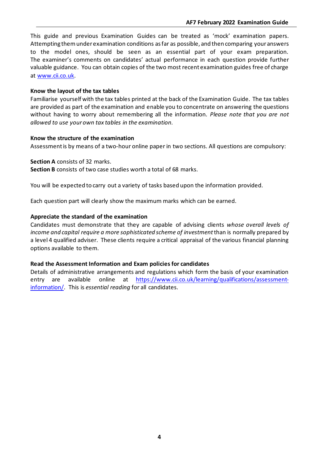This guide and previous Examination Guides can be treated as 'mock' examination papers. Attempting them under examination conditions as far as possible, and then comparing your answers to the model ones, should be seen as an essential part of your exam preparation. The examiner's comments on candidates' actual performance in each question provide further valuable guidance. You can obtain copies of the two most recent examination guides free of charge at [www.cii.co.uk.](http://www.cii.co.uk/)

#### **Know the layout of the tax tables**

Familiarise yourself with the tax tables printed at the back of the Examination Guide. The tax tables are provided as part of the examination and enable you to concentrate on answering the questions without having to worry about remembering all the information. *Please note that you are not allowed to use your own tax tables in the examination.*

#### **Know the structure of the examination**

Assessment is by means of a two-hour online paper in two sections. All questions are compulsory:

**Section A** consists of 32 marks.

**Section B** consists of two case studies worth a total of 68 marks.

You will be expected to carry out a variety of tasks based upon the information provided.

Each question part will clearly show the maximum marks which can be earned.

#### **Appreciate the standard of the examination**

Candidates must demonstrate that they are capable of advising clients *whose overall levels of income and capital require a more sophisticated scheme of investment* than is normally prepared by a level 4 qualified adviser. These clients require a critical appraisal of the various financial planning options available to them.

#### **Read the Assessment Information and Exam policies for candidates**

Details of administrative arrangements and regulations which form the basis of your examination entry are available online at [https://www.cii.co.uk/learning/qualifications/assessment](https://www.cii.co.uk/learning/qualifications/assessment-information/)[information/.](https://www.cii.co.uk/learning/qualifications/assessment-information/) This is *essential reading* for all candidates.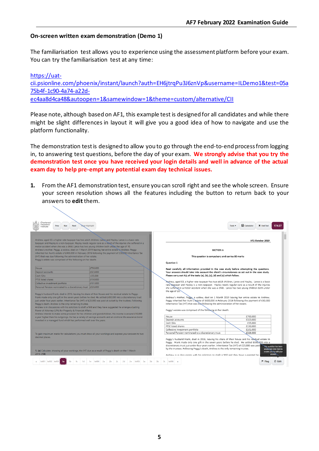#### **On-screen written exam demonstration (Demo 1)**

The familiarisation test allows you to experience using the assessment platform before your exam. You can try the familiarisation test at any time:

[https://uat](https://uat-cii.psionline.com/phoenix/instant/launch?auth=EH6jtrqPu3J6znVp&username=ILDemo1&test=05a75b4f-1c90-4a74-a22d-ec4aa8d4ca48&autoopen=1&samewindow=1&theme=custom/alternative/CII)[cii.psionline.com/phoenix/instant/launch?auth=EH6jtrqPu3J6znVp&username=ILDemo1&test=05a](https://uat-cii.psionline.com/phoenix/instant/launch?auth=EH6jtrqPu3J6znVp&username=ILDemo1&test=05a75b4f-1c90-4a74-a22d-ec4aa8d4ca48&autoopen=1&samewindow=1&theme=custom/alternative/CII) [75b4f-1c90-4a74-a22d](https://uat-cii.psionline.com/phoenix/instant/launch?auth=EH6jtrqPu3J6znVp&username=ILDemo1&test=05a75b4f-1c90-4a74-a22d-ec4aa8d4ca48&autoopen=1&samewindow=1&theme=custom/alternative/CII)[ec4aa8d4ca48&autoopen=1&samewindow=1&theme=custom/alternative/CII](https://uat-cii.psionline.com/phoenix/instant/launch?auth=EH6jtrqPu3J6znVp&username=ILDemo1&test=05a75b4f-1c90-4a74-a22d-ec4aa8d4ca48&autoopen=1&samewindow=1&theme=custom/alternative/CII)

Please note, although based on AF1, this example test is designed for all candidates and while there might be slight differences in layout it will give you a good idea of how to navigate and use the platform functionality.

The demonstration test is designed to allow you to go through the end-to-end process from logging in, to answering test questions, before the day of your exam. **We strongly advise that you try the demonstration test once you have received your login details and well in advance of the actual exam day to help pre-empt any potential exam day technical issues.** 

**1.** From the AF1 demonstration test, ensure you can scroll right and see the whole screen. Ensure your screen resolution shows all the features including the button to return back to your answers to **edit** them.

| Chartered<br>Insurance<br>Chear Highlight<br>Nav<br>Prev<br><b>Next</b><br>Institute                                                                                                                                                                                                                                                                                                                                                                                                                                                                                                                                                                                                                                                                                                                                                                                   | <b>R</b> Calculator<br>174:27<br><b>X</b> End Test<br>Tools $\blacktriangledown$                                                                                                                                                                                                                                                                                                                                                                                                                                                                                          |
|------------------------------------------------------------------------------------------------------------------------------------------------------------------------------------------------------------------------------------------------------------------------------------------------------------------------------------------------------------------------------------------------------------------------------------------------------------------------------------------------------------------------------------------------------------------------------------------------------------------------------------------------------------------------------------------------------------------------------------------------------------------------------------------------------------------------------------------------------------------------|---------------------------------------------------------------------------------------------------------------------------------------------------------------------------------------------------------------------------------------------------------------------------------------------------------------------------------------------------------------------------------------------------------------------------------------------------------------------------------------------------------------------------------------------------------------------------|
|                                                                                                                                                                                                                                                                                                                                                                                                                                                                                                                                                                                                                                                                                                                                                                                                                                                                        |                                                                                                                                                                                                                                                                                                                                                                                                                                                                                                                                                                           |
| Andrew, aged 63, a higher rate taxpayer has two adult children, Lance and Hayley. Lance is a basic rate                                                                                                                                                                                                                                                                                                                                                                                                                                                                                                                                                                                                                                                                                                                                                                | AF1 October 2019                                                                                                                                                                                                                                                                                                                                                                                                                                                                                                                                                          |
| taxpayer and Hayley is a non-taxpayer. Hayley needs regular care as a result of the injuries she suffered in a                                                                                                                                                                                                                                                                                                                                                                                                                                                                                                                                                                                                                                                                                                                                                         |                                                                                                                                                                                                                                                                                                                                                                                                                                                                                                                                                                           |
| motor accident when she was a child. Lance has two young children both under the age of 10.<br>Andrew's mother, Peggy, a widow, died on 1 March 2019 leaving her entire estate to Andrew. Peggy                                                                                                                                                                                                                                                                                                                                                                                                                                                                                                                                                                                                                                                                        | <b>SECTION A</b>                                                                                                                                                                                                                                                                                                                                                                                                                                                                                                                                                          |
| inherited her Aunt's estate of £400,000 in February 2016 following the payment of £30,000 Inheritance Tax                                                                                                                                                                                                                                                                                                                                                                                                                                                                                                                                                                                                                                                                                                                                                              |                                                                                                                                                                                                                                                                                                                                                                                                                                                                                                                                                                           |
| (IHT) that was due following the administration of her estate.                                                                                                                                                                                                                                                                                                                                                                                                                                                                                                                                                                                                                                                                                                                                                                                                         | This question is compulsory and carries 80 marks                                                                                                                                                                                                                                                                                                                                                                                                                                                                                                                          |
| Peggy's estate was comprised of the following on her death:                                                                                                                                                                                                                                                                                                                                                                                                                                                                                                                                                                                                                                                                                                                                                                                                            |                                                                                                                                                                                                                                                                                                                                                                                                                                                                                                                                                                           |
|                                                                                                                                                                                                                                                                                                                                                                                                                                                                                                                                                                                                                                                                                                                                                                                                                                                                        | Question 1                                                                                                                                                                                                                                                                                                                                                                                                                                                                                                                                                                |
| House<br>£700,000                                                                                                                                                                                                                                                                                                                                                                                                                                                                                                                                                                                                                                                                                                                                                                                                                                                      | Read carefully all information provided in the case study before attempting the questions.                                                                                                                                                                                                                                                                                                                                                                                                                                                                                |
| £323,000<br>Deposit accounts                                                                                                                                                                                                                                                                                                                                                                                                                                                                                                                                                                                                                                                                                                                                                                                                                                           | Your answers should take into account the client's circumstances as set out in the case study.                                                                                                                                                                                                                                                                                                                                                                                                                                                                            |
| £55,000<br>Cash ISAs                                                                                                                                                                                                                                                                                                                                                                                                                                                                                                                                                                                                                                                                                                                                                                                                                                                   | Please carry out ALL of the tasks (a), (b), (c), (d) and (e) which follow.                                                                                                                                                                                                                                                                                                                                                                                                                                                                                                |
| £150,000<br><b>FTSE</b> listed shares                                                                                                                                                                                                                                                                                                                                                                                                                                                                                                                                                                                                                                                                                                                                                                                                                                  | Andrew, aged 63, a higher rate taxpayer has two adult children, Lance and Hayley. Lance is a basic                                                                                                                                                                                                                                                                                                                                                                                                                                                                        |
| £101.000<br>Collective investment portfolio                                                                                                                                                                                                                                                                                                                                                                                                                                                                                                                                                                                                                                                                                                                                                                                                                            | rate taxpayer and Hayley is a non-taxpayer. Hayley needs regular care as a result of the injuries                                                                                                                                                                                                                                                                                                                                                                                                                                                                         |
| Personal Pension nominated to a discretionary trust £326,000                                                                                                                                                                                                                                                                                                                                                                                                                                                                                                                                                                                                                                                                                                                                                                                                           | she suffered in a motor accident when she was a child. Lance has two young children both under                                                                                                                                                                                                                                                                                                                                                                                                                                                                            |
| Peggy's husband Frank, died in 2016, leaving his share of their house and his residual estate to Peggy.<br>Frank made only one gift in the seven years before he died. He settled £450,000 into a discretionary trust<br>just under four years earlier. Inheritance Tax (IHT) of £23,800 was paid at outset by the trustees. Following<br>Peggy's death, Andrew is the only remaining trustee.<br>Andrew is in discussions with his solicitors to draft a Will and they have suggested he arrange a Lasting<br>Power of Attorney (LPA) for Property & Financial Affairs.<br>Andrew intends to make some provision for his children and grandchildren. His income is around £10,000<br>a year higher than his outgoings. He has a variety of savings accounts and an onshore life assurance bond<br>invested in a managed fund which has performed well over the years. | the age of 10.<br>Andrew's mother, Peggy, a widow, died on 1 March 2019 leaving her entire estate to Andrew.<br>Peggy inherited her Aunt's estate of £400,000 in February 2016 following the payment of £30,000<br>Inheritance Tax (IHT) that was due following the administration of her estate.<br>Peggy's estate was comprised of the following on her death:<br>House<br>£700,000<br>Deposit accounts<br>£323,000                                                                                                                                                     |
|                                                                                                                                                                                                                                                                                                                                                                                                                                                                                                                                                                                                                                                                                                                                                                                                                                                                        | Cash ISAs<br>£55.000<br>FTSE listed shares<br>£150.000                                                                                                                                                                                                                                                                                                                                                                                                                                                                                                                    |
|                                                                                                                                                                                                                                                                                                                                                                                                                                                                                                                                                                                                                                                                                                                                                                                                                                                                        | Collective investment portfolio<br>£101,000                                                                                                                                                                                                                                                                                                                                                                                                                                                                                                                               |
| To gain maximum marks for calculations you must show all your workings and express your answers to two                                                                                                                                                                                                                                                                                                                                                                                                                                                                                                                                                                                                                                                                                                                                                                 | £326,000<br>Personal Pension nominated to a discretionary trust                                                                                                                                                                                                                                                                                                                                                                                                                                                                                                           |
| decimal places.<br>1. (a) Calculate, showing all your workings, the IHT due as a result of Peggy's death on the 1 March<br>2019. (13)                                                                                                                                                                                                                                                                                                                                                                                                                                                                                                                                                                                                                                                                                                                                  | Peggy's husband Frank, died in 2016, leaving his share of their house and his residual estate to<br>Peggy. Frank made only one gift in the seven years before he died. He settled £450,000 into a<br>discretionary trust just under four years earlier. Inheritance Tax (IHT) of £23,800 was paid<br>This question has been<br>by the trustees. Following Peggy's death, Andrew is the only remaining trustee.<br>answered. Click here to<br>enable you to edit your<br>answer<br>Androw is in discussions with his solicitors to draft a Will and they have suggested he |
| Inf01 Inf02 Inf03<br>$lnf04$ 2a<br>2 <sub>b</sub><br>$2e$ Inf05<br>3a<br>3 <sub>b</sub><br>- 1a<br>1 <sub>b</sub><br>1 <sub>c</sub><br>1 <sub>d</sub><br>1e<br>2 <sub>c</sub><br>2d                                                                                                                                                                                                                                                                                                                                                                                                                                                                                                                                                                                                                                                                                    | $C$ Edit<br>$M$ Flag<br>3 <sub>b</sub><br>$3c$ $lnf06$                                                                                                                                                                                                                                                                                                                                                                                                                                                                                                                    |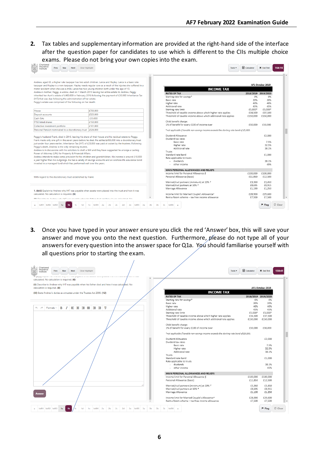**2.** Tax tables and supplementary information are provided at the right-hand side of the interface after the question paper for candidates to use which is different to the CIIs multiple choice exams. Please do not bring your own copies into the exam.

| Chartered<br>Insurance<br>Clear Highlight<br>Prev<br>Nav<br><b>Next</b><br>Institute                                                                                                                                                                                                                                                                                                                                                                                                                                                                                                                        |                                                                                        |                          | Tools -                                                                                                                        | <b>R</b> Calculator | <b>X</b> End Test                                    | 164:16            |
|-------------------------------------------------------------------------------------------------------------------------------------------------------------------------------------------------------------------------------------------------------------------------------------------------------------------------------------------------------------------------------------------------------------------------------------------------------------------------------------------------------------------------------------------------------------------------------------------------------------|----------------------------------------------------------------------------------------|--------------------------|--------------------------------------------------------------------------------------------------------------------------------|---------------------|------------------------------------------------------|-------------------|
| Andrew, aged 63, a higher rate taxpayer has two adult children, Lance and Hayley. Lance is a basic rate<br>taxpayer and Hayley is a non-taxpayer. Hayley needs regular care as a result of the injuries she suffered in a<br>motor accident when she was a child. Lance has two young children both under the age of 10.<br>Andrew's mother, Peggy, a widow, died on 1 March 2019 leaving her entire estate to Andrew. Peggy<br>inherited her Aunt's estate of £400,000 in February 2016 following the payment of £30,000 Inheritance Tax<br>(IHT) that was due following the administration of her estate. |                                                                                        |                          | <b>INCOME TAX</b><br><b>RATES OF TAX</b><br>Starting rate for savings*<br>Basic rate                                           | 0%<br>20%           | AF1 October 2019<br>2018/2019 2019/2020<br>0%<br>20% |                   |
| Peggy's estate was comprised of the following on her death:                                                                                                                                                                                                                                                                                                                                                                                                                                                                                                                                                 |                                                                                        |                          | Higher rate<br>Additional rate                                                                                                 | 40%<br>45%          | 40%<br>45%                                           |                   |
| House                                                                                                                                                                                                                                                                                                                                                                                                                                                                                                                                                                                                       | £700,000                                                                               |                          | Starting-rate limit                                                                                                            | £5.000*             | £5.000*                                              |                   |
| Deposit accounts                                                                                                                                                                                                                                                                                                                                                                                                                                                                                                                                                                                            | £323,000                                                                               |                          | Threshold of taxable income above which higher rate applies<br>Threshold of taxable income above which additional rate applies | £34.500             | £37,500                                              |                   |
| Cash ISAs                                                                                                                                                                                                                                                                                                                                                                                                                                                                                                                                                                                                   | £55,000                                                                                |                          |                                                                                                                                | £150,000            | £150,000                                             |                   |
| <b>FTSF listed shares</b>                                                                                                                                                                                                                                                                                                                                                                                                                                                                                                                                                                                   | £150,000                                                                               |                          | Child benefit charge:                                                                                                          |                     |                                                      |                   |
| Collective investment portfolio                                                                                                                                                                                                                                                                                                                                                                                                                                                                                                                                                                             | £101.000                                                                               |                          | 1% of benefit for every £100 of income over                                                                                    | £50,000             | £50,000                                              |                   |
| Personal Pension nominated to a discretionary trust £326,000                                                                                                                                                                                                                                                                                                                                                                                                                                                                                                                                                |                                                                                        |                          | *not applicable if taxable non-savings income exceeds the starting rate band of £5,000.                                        |                     |                                                      |                   |
|                                                                                                                                                                                                                                                                                                                                                                                                                                                                                                                                                                                                             |                                                                                        |                          |                                                                                                                                |                     |                                                      |                   |
| Peggy's husband Frank, died in 2016, leaving his share of their house and his residual estate to Peggy.                                                                                                                                                                                                                                                                                                                                                                                                                                                                                                     |                                                                                        |                          | Dividend Allowance                                                                                                             |                     | £2,000                                               |                   |
| Frank made only one gift in the seven years before he died. He settled £450,000 into a discretionary trust                                                                                                                                                                                                                                                                                                                                                                                                                                                                                                  |                                                                                        |                          | Dividend tax rates                                                                                                             |                     |                                                      |                   |
| just under four years earlier. Inheritance Tax (IHT) of £23,800 was paid at outset by the trustees. Following                                                                                                                                                                                                                                                                                                                                                                                                                                                                                               |                                                                                        |                          | Basic rate                                                                                                                     |                     | 7.5%                                                 |                   |
| Peggy's death, Andrew is the only remaining trustee.                                                                                                                                                                                                                                                                                                                                                                                                                                                                                                                                                        |                                                                                        |                          | Higher rate<br>Additional rate                                                                                                 |                     | 32.5%                                                |                   |
| Andrew is in discussions with his solicitors to draft a Will and they have suggested he arrange a Lasting                                                                                                                                                                                                                                                                                                                                                                                                                                                                                                   |                                                                                        |                          | Trusts                                                                                                                         |                     | 38.1%                                                |                   |
| Power of Attorney (LPA) for Property & Financial Affairs.                                                                                                                                                                                                                                                                                                                                                                                                                                                                                                                                                   |                                                                                        |                          | Standard rate band                                                                                                             |                     | £1,000                                               |                   |
| Andrew intends to make some provision for his children and grandchildren. His income is around £10,000                                                                                                                                                                                                                                                                                                                                                                                                                                                                                                      |                                                                                        |                          | Rate applicable to trusts                                                                                                      |                     |                                                      |                   |
| a year higher than his outgoings. He has a variety of savings accounts and an onshore life assurance bond                                                                                                                                                                                                                                                                                                                                                                                                                                                                                                   |                                                                                        |                          | - dividends                                                                                                                    |                     | 38.1%                                                |                   |
| invested in a managed fund which has performed well over the years.                                                                                                                                                                                                                                                                                                                                                                                                                                                                                                                                         |                                                                                        |                          | - other income                                                                                                                 |                     | 45%                                                  |                   |
|                                                                                                                                                                                                                                                                                                                                                                                                                                                                                                                                                                                                             |                                                                                        |                          |                                                                                                                                |                     |                                                      |                   |
|                                                                                                                                                                                                                                                                                                                                                                                                                                                                                                                                                                                                             |                                                                                        |                          | MAIN PERSONAL ALLOWANCES AND RELIEFS<br>Income limit for Personal Allowance §                                                  | £100,000            | £100,000                                             |                   |
|                                                                                                                                                                                                                                                                                                                                                                                                                                                                                                                                                                                                             |                                                                                        |                          | Personal Allowance (basic)                                                                                                     | £11,850             | £12,500                                              |                   |
| With regard to the discretionary trust established by Frank:                                                                                                                                                                                                                                                                                                                                                                                                                                                                                                                                                |                                                                                        |                          |                                                                                                                                |                     |                                                      |                   |
|                                                                                                                                                                                                                                                                                                                                                                                                                                                                                                                                                                                                             |                                                                                        |                          | Married/civil partners (minimum) at 10% +                                                                                      | £3,360              | £3.450                                               |                   |
|                                                                                                                                                                                                                                                                                                                                                                                                                                                                                                                                                                                                             |                                                                                        |                          | Married/civil partners at 10% +                                                                                                | £8,695              | £8,915                                               |                   |
| 1. (b)(i) Explain to Andrew why IHT was payable when assets were placed into the trust and how it was                                                                                                                                                                                                                                                                                                                                                                                                                                                                                                       |                                                                                        |                          | Marriage Allowance                                                                                                             | £1.190              | £1,250                                               |                   |
| calculated. No calculation is required. (6)                                                                                                                                                                                                                                                                                                                                                                                                                                                                                                                                                                 |                                                                                        |                          | Income limit for Married Couple's Allowance*                                                                                   | £28,900             | £29,600                                              |                   |
|                                                                                                                                                                                                                                                                                                                                                                                                                                                                                                                                                                                                             |                                                                                        | $\overline{\phantom{a}}$ | Rent a Room scheme - tax free income allowance                                                                                 | £7.500              | £7.500                                               |                   |
| All'i Decedica to Androw who ILIT was novable when his father died and how it was calculated. No                                                                                                                                                                                                                                                                                                                                                                                                                                                                                                            |                                                                                        |                          |                                                                                                                                |                     |                                                      |                   |
|                                                                                                                                                                                                                                                                                                                                                                                                                                                                                                                                                                                                             |                                                                                        | 3 <sub>b</sub>           | Inf06                                                                                                                          |                     | <sup>■</sup> Flag                                    | $\mathbb C$ Clear |
| $Inf01$ $Inf02$ $Inf03$<br>1a<br>1 <sub>b</sub><br>1 <sub>d</sub>                                                                                                                                                                                                                                                                                                                                                                                                                                                                                                                                           | Inf04<br>2a<br>2 <sub>b</sub><br>2e<br>Inf05<br>1 <sub>e</sub><br>2 <sub>c</sub><br>2d | 3a<br>3 <sub>b</sub>     | 3 <sub>c</sub><br>$\mathbf{v}$                                                                                                 |                     |                                                      |                   |

**3.** Once you have typed in your answer ensure you click the red 'Answer' box, this will save your answer and move you onto the next question. Furthermore, please do not type all of your answers for every question into the answer space for Q1a. You should familiarise yourself with all questions prior to starting the exam.

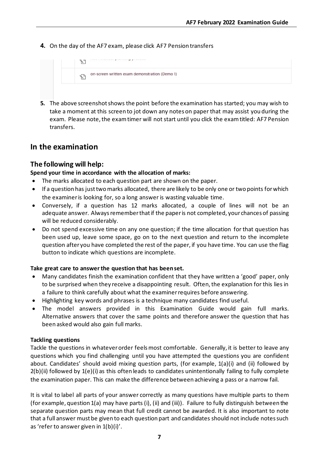**4.** On the day of the AF7 exam, please click AF7 Pension transfers



**5.** The above screenshot shows the point before the examination has started; you may wish to take a moment at this screen to jot down any notes on paper that may assist you during the exam. Please note, the exam timer will not start until you click the exam titled: AF7 Pension transfers.

## **In the examination**

#### **The following will help:**

#### **Spend your time in accordance with the allocation of marks:**

- The marks allocated to each question part are shown on the paper.
- If a question has just two marks allocated, there are likely to be only one or two points for which the examiner is looking for, so a long answer is wasting valuable time.
- Conversely, if a question has 12 marks allocated, a couple of lines will not be an adequate answer. Always remember that if the paper is not completed, your chances of passing will be reduced considerably.
- Do not spend excessive time on any one question; if the time allocation for that question has been used up, leave some space, go on to the next question and return to the incomplete question after you have completed the rest of the paper, if you have time. You can use the flag button to indicate which questions are incomplete.

#### **Take great care to answer the question that has been set.**

- Many candidates finish the examination confident that they have written a 'good' paper, only to be surprised when they receive a disappointing result. Often, the explanation for this lies in a failure to think carefully about what the examiner requires before answering.
- Highlighting key words and phrases is a technique many candidates find useful.
- The model answers provided in this Examination Guide would gain full marks. Alternative answers that cover the same points and therefore answer the question that has been asked would also gain full marks.

#### **Tackling questions**

Tackle the questions in whatever order feels most comfortable. Generally, it is better to leave any questions which you find challenging until you have attempted the questions you are confident about. Candidates' should avoid mixing question parts, (for example, 1(a)(i) and (ii) followed by 2(b)(ii) followed by 1(e)(i) as this often leads to candidates unintentionally failing to fully complete the examination paper. This can make the difference between achieving a pass or a narrow fail.

It is vital to label all parts of your answer correctly as many questions have multiple parts to them (for example, question 1(a) may have parts (i), (ii) and (iii)). Failure to fully distinguish between the separate question parts may mean that full credit cannot be awarded. It is also important to note that a full answer must be given to each question part and candidates should not include notes such as 'refer to answer given in 1(b)(i)'.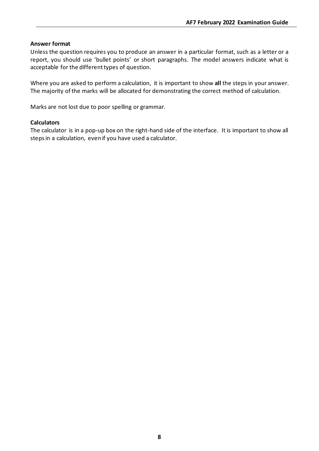#### **Answer format**

Unless the question requires you to produce an answer in a particular format, such as a letter or a report, you should use 'bullet points' or short paragraphs. The model answers indicate what is acceptable for the different types of question.

Where you are asked to perform a calculation, it is important to show **all** the steps in your answer. The majority of the marks will be allocated for demonstrating the correct method of calculation.

Marks are not lost due to poor spelling or grammar.

#### **Calculators**

The calculator is in a pop-up box on the right-hand side of the interface. It is important to show all steps in a calculation, even if you have used a calculator.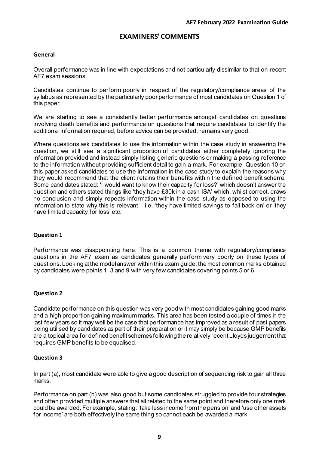## **EXAMINERS'COMMENTS**

#### **General**

Overall performance was in line with expectations and not particularly dissimilar to that on recent AF7 exam sessions.

Candidates continue to perform poorly in respect of the regulatory/compliance areas of the syllabus as represented by the particularly poor performance of most candidates on Question 1 of this paper.

We are starting to see a consistently better performance amongst candidates on questions involving death benefits and performance on questions that require candidates to identify the additional information required, before advice can be provided, remains very good.

Where questions ask candidates to use the information within the case study in answering the question, we still see a significant proportion of candidates either completely ignoring the information provided and instead simply listing generic questions or making a passing reference to the information without providing sufficient detail to gain a mark. For example, Question 10 on this paper asked candidates to use the information in the case study to explain the reasons why they would recommend that the client retains their benefits within the defined benefit scheme. Some candidates stated: 'I would want to know their capacity for loss?' which doesn't answer the question and others stated things like 'they have £30k in a cash ISA' which, whilst correct, draws no conclusion and simply repeats information within the case study as opposed to using the information to state why this is relevant – i.e. 'they have limited savings to fall back on' or 'they have limited capacity for loss' etc.

#### **Question 1**

Performance was disappointing here. This is a common theme with regulatory/compliance questions in the AF7 exam as candidates generally perform very poorly on these types of questions. Looking at the model answer within this exam guide, the most common marks obtained by candidates were points 1, 3 and 9 with very few candidates covering points 5 or 6.

#### **Question 2**

Candidate performance on this question was very good with most candidates gaining good marks and a high proportion gaining maximum marks. This area has been tested a couple of times in the last few years so it may well be the case that performance has improved as a result of past papers being utilised by candidates as part of their preparation or it may simply be because GMP benefits are a topical area for defined benefit schemes following the relatively recent Lloyds judgement that requires GMP benefits to be equalised.

#### **Question 3**

In part (a), most candidate were able to give a good description of sequencing risk to gain all three marks.

Performance on part (b) was also good but some candidates struggled to provide four strategies and often provided multiple answers that all related to the same point and therefore only one mark could be awarded. For example, stating: 'take less income from the pension'and 'use other assets for income' are both effectively the same thing so cannot each be awarded a mark.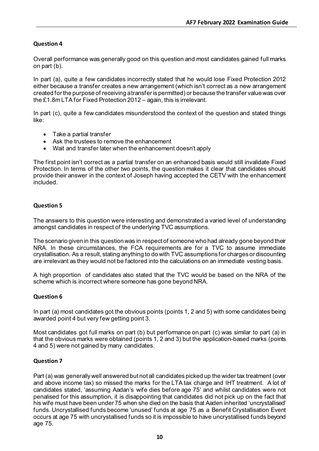#### **Question 4**

Overall performance was generally good on this question and most candidates gained full marks on part (b).

In part (a), quite a few candidates incorrectly stated that he would lose Fixed Protection 2012 either because a transfer creates a new arrangement (which isn't correct as a new arrangement created for the purpose of receiving a transfer is permitted) or because the transfer value was over the £1.8m LTA for Fixed Protection 2012 – again, this is irrelevant.

In part (c), quite a few candidates misunderstood the context of the question and stated things like:

- Take a partial transfer
- Ask the trustees to remove the enhancement
- Wait and transfer later when the enhancement doesn't apply

The first point isn't correct as a partial transfer on an enhanced basis would still invalidate Fixed Protection. In terms of the other two points, the question makes it clear that candidates should provide their answer in the context of Joseph having accepted the CETV with the enhancement included.

#### **Question 5**

The answers to this question were interesting and demonstrated a varied level of understanding amongst candidates in respect of the underlying TVC assumptions.

The scenario given in this question was in respect of someone who had already gone beyond their NRA. In these circumstances, the FCA requirements are for a TVC to assume immediate crystallisation. As a result, stating anything to do with TVC assumptions for charges or discounting are irrelevant as they would not be factored into the calculations on an immediate vesting basis.

A high proportion of candidates also stated that the TVC would be based on the NRA of the scheme which is incorrect where someone has gone beyond NRA.

#### **Question 6**

In part (a) most candidates got the obvious points (points 1, 2 and 5) with some candidates being awarded point 4 but very few getting point 3.

Most candidates got full marks on part (b) but performance on part (c) was similar to part (a) in that the obvious marks were obtained (points 1, 2 and 3) but the application-based marks (points 4 and 5) were not gained by many candidates.

#### **Question 7**

Part (a) was generally well answered but not all candidates picked up the wider tax treatment (over and above income tax) so missed the marks for the LTA tax charge and IHT treatment. A lot of candidates stated, 'assuming Aadan's wife dies before age 75' and whilst candidates were not penalised for this assumption, it is disappointing that candidates did not pick up on the fact that his wife must have been under 75 when she died on the basis that Aaden inherited 'uncrystallised' funds. Uncrystallised funds become 'unused' funds at age 75 as a Benefit Crystallisation Event occurs at age 75 with uncrystallised funds so it is impossible to have uncrystallised funds beyond age 75.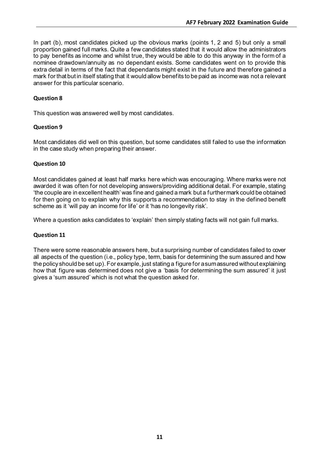In part (b), most candidates picked up the obvious marks (points 1, 2 and 5) but only a small proportion gained full marks. Quite a few candidates stated that it would allow the administrators to pay benefits as income and whilst true, they would be able to do this anyway in the form of a nominee drawdown/annuity as no dependant exists. Some candidates went on to provide this extra detail in terms of the fact that dependants might exist in the future and therefore gained a mark for that but in itself stating that it would allow benefits to be paid as income was not a relevant answer for this particular scenario.

#### **Question 8**

This question was answered well by most candidates.

#### **Question 9**

Most candidates did well on this question, but some candidates still failed to use the information in the case study when preparing their answer.

#### **Question 10**

Most candidates gained at least half marks here which was encouraging. Where marks were not awarded it was often for not developing answers/providing additional detail. For example, stating 'the couple are in excellent health' was fine and gained a mark but a further mark could be obtained for then going on to explain why this supports a recommendation to stay in the defined benefit scheme as it 'will pay an income for life' or it 'has no longevity risk'.

Where a question asks candidates to 'explain' then simply stating facts will not gain full marks.

#### **Question 11**

There were some reasonable answers here, but a surprising number of candidates failed to cover all aspects of the question (i.e., policy type, term, basis for determining the sum assured and how the policy should be set up). For example, just stating a figure for a sum assured without explaining how that figure was determined does not give a 'basis for determining the sum assured' it just gives a 'sum assured' which is not what the question asked for.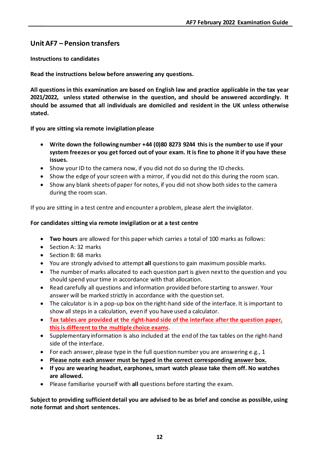### **Unit AF7 – Pension transfers**

#### **Instructions to candidates**

**Read the instructions below before answering any questions.**

**All questions in this examination are based on English law and practice applicable in the tax year 2021/2022, unless stated otherwise in the question, and should be answered accordingly. It should be assumed that all individuals are domiciled and resident in the UK unless otherwise stated.**

**If you are sitting via remote invigilation please**

- **Write down the following number +44 (0)80 8273 9244 this is the number to use if your system freezes or you get forced out of your exam. It is fine to phone it if you have these issues.**
- Show your ID to the camera now, if you did not do so during the ID checks.
- Show the edge of your screen with a mirror, if you did not do this during the room scan.
- Show any blank sheets of paper for notes, if you did not show both sides to the camera during the room scan.

If you are sitting in a test centre and encounter a problem, please alert the invigilator.

#### **For candidates sitting via remote invigilation or at a test centre**

- **Two hours** are allowed for this paper which carries a total of 100 marks as follows:
- Section A: 32 marks
- Section B: 68 marks
- You are strongly advised to attempt **all** questions to gain maximum possible marks.
- The number of marks allocated to each question part is given next to the question and you should spend your time in accordance with that allocation.
- Read carefully all questions and information provided before starting to answer. Your answer will be marked strictly in accordance with the question set.
- The calculator is in a pop-up box on the right-hand side of the interface. It is important to show all steps in a calculation, even if you have used a calculator.
- **Tax tables are provided at the right-hand side of the interface after the question paper, this is different to the multiple choice exams**.
- Supplementary information is also included at the end of the tax tables on the right-hand side of the interface.
- For each answer, please type in the full question number you are answering e.g., 1
- **Please note each answer must be typed in the correct corresponding answer box.**
- **If you are wearing headset, earphones, smart watch please take them off. No watches are allowed.**
- Please familiarise yourself with **all** questions before starting the exam.

**Subject to providing sufficient detail you are advised to be as brief and concise as possible, using note format and short sentences.**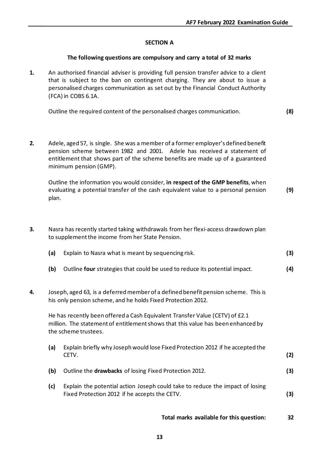#### **SECTION A**

#### **The following questions are compulsory and carry a total of 32 marks**

**1.** An authorised financial adviser is providing full pension transfer advice to a client that is subject to the ban on contingent charging. They are about to issue a personalised charges communication as set out by the Financial Conduct Authority (FCA) in COBS 6.1A.

Outline the required content of the personalised charges communication. **(8)**

**2.** Adele, aged 57, is single. She was a member of a former employer's defined benefit pension scheme between 1982 and 2001. Adele has received a statement of entitlement that shows part of the scheme benefits are made up of a guaranteed minimum pension (GMP).

Outline the information you would consider, **in respect of the GMP benefits**, when evaluating a potential transfer of the cash equivalent value to a personal pension plan. **(9)**

**3.** Nasra has recently started taking withdrawals from her flexi-access drawdown plan to supplement the income from her State Pension.

| (a) | Explain to Nasra what is meant by sequencing risk. |  |
|-----|----------------------------------------------------|--|
|-----|----------------------------------------------------|--|

- **(b)** Outline **four** strategies that could be used to reduce its potential impact. **(4)**
- **4.** Joseph, aged 63, is a deferred member of a defined benefit pension scheme. This is his only pension scheme, and he holds Fixed Protection 2012.

He has recently been offered a Cash Equivalent Transfer Value (CETV) of £2.1 million. The statement of entitlement shows that this value has been enhanced by the scheme trustees.

- **(a)** Explain briefly why Joseph would lose Fixed Protection 2012 if he accepted the CETV. **(2)**
- **(b)** Outline the **drawbacks** of losing Fixed Protection 2012. **(3)**
- **(c)** Explain the potential action Joseph could take to reduce the impact of losing Fixed Protection 2012 if he accepts the CETV. **(3)**

**Total marks available for this question: 32**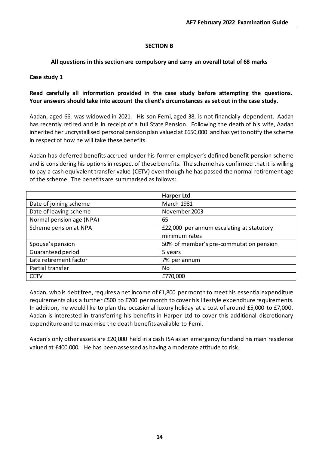#### **SECTION B**

#### **All questions in this section are compulsory and carry an overall total of 68 marks**

#### **Case study 1**

#### **Read carefully all information provided in the case study before attempting the questions. Your answers should take into account the client's circumstances as set out in the case study.**

Aadan, aged 66, was widowed in 2021. His son Femi, aged 38, is not financially dependent. Aadan has recently retired and is in receipt of a full State Pension. Following the death of his wife, Aadan inherited her uncrystallised personal pension plan valued at £650,000 and has yet to notify the scheme in respect of how he will take these benefits.

Aadan has deferred benefits accrued under his former employer's defined benefit pension scheme and is considering his options in respect of these benefits. The scheme has confirmed that it is willing to pay a cash equivalent transfer value (CETV) even though he has passed the normal retirement age of the scheme. The benefits are summarised as follows:

|                          | <b>Harper Ltd</b>                         |
|--------------------------|-------------------------------------------|
| Date of joining scheme   | <b>March 1981</b>                         |
| Date of leaving scheme   | November 2003                             |
| Normal pension age (NPA) | 65                                        |
| Scheme pension at NPA    | £22,000 per annum escalating at statutory |
|                          | minimum rates                             |
| Spouse's pension         | 50% of member's pre-commutation pension   |
| Guaranteed period        | 5 years                                   |
| Late retirement factor   | 7% per annum                              |
| Partial transfer         | No                                        |
| <b>CETV</b>              | £770,000                                  |

Aadan, who is debt free, requires a net income of £1,800 per month to meet his essential expenditure requirements plus a further £500 to £700 per month to cover his lifestyle expenditure requirements. In addition, he would like to plan the occasional luxury holiday at a cost of around £5,000 to £7,000. Aadan is interested in transferring his benefits in Harper Ltd to cover this additional discretionary expenditure and to maximise the death benefits available to Femi.

Aadan's only other assets are £20,000 held in a cash ISA as an emergency fund and his main residence valued at £400,000. He has been assessed as having a moderate attitude to risk.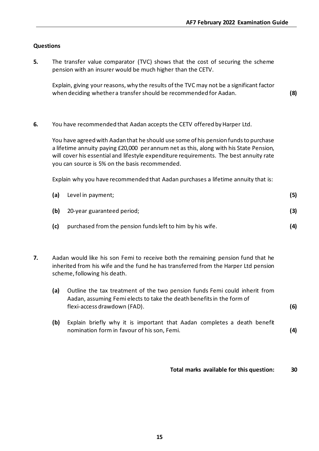#### **Questions**

**5.** The transfer value comparator (TVC) shows that the cost of securing the scheme pension with an insurer would be much higher than the CETV.

Explain, giving your reasons, why the results of the TVC may not be a significant factor when deciding whether a transfer should be recommended for Aadan. **(8)**

**6.** You have recommended that Aadan accepts the CETV offered by Harper Ltd.

You have agreed with Aadan that he should use some of his pension funds to purchase a lifetime annuity paying £20,000 per annum net as this, along with his State Pension, will cover his essential and lifestyle expenditure requirements. The best annuity rate you can source is 5% on the basis recommended.

Explain why you have recommended that Aadan purchases a lifetime annuity that is:

| (a) | Level in payment;                                         | (5) |
|-----|-----------------------------------------------------------|-----|
| (b) | 20-year guaranteed period;                                | (3) |
| (c) | purchased from the pension funds left to him by his wife. | (4) |

- **7.** Aadan would like his son Femi to receive both the remaining pension fund that he inherited from his wife and the fund he has transferred from the Harper Ltd pension scheme, following his death.
	- **(a)** Outline the tax treatment of the two pension funds Femi could inherit from Aadan, assuming Femi elects to take the death benefits in the form of flexi-access drawdown (FAD). **(6)**
	- **(b)** Explain briefly why it is important that Aadan completes a death benefit nomination form in favour of his son, Femi. **(4)**

**Total marks available for this question: 30**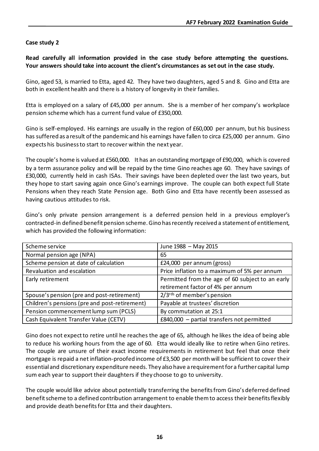#### **Case study 2**

**Read carefully all information provided in the case study before attempting the questions. Your answers should take into account the client's circumstances as set out in the case study.**

Gino, aged 53, is married to Etta, aged 42. They have two daughters, aged 5 and 8. Gino and Etta are both in excellent health and there is a history of longevity in their families.

Etta is employed on a salary of £45,000 per annum. She is a member of her company's workplace pension scheme which has a current fund value of £350,000.

Gino is self-employed. His earnings are usually in the region of £60,000 per annum, but his business has suffered as a result of the pandemic and his earnings have fallen to circa £25,000 per annum. Gino expects his business to start to recover within the next year.

The couple's home is valued at £560,000. It has an outstanding mortgage of £90,000, which is covered by a term assurance policy and will be repaid by the time Gino reaches age 60. They have savings of £30,000, currently held in cash ISAs. Their savings have been depleted over the last two years, but they hope to start saving again once Gino's earnings improve. The couple can both expect full State Pensions when they reach State Pension age. Both Gino and Etta have recently been assessed as having cautious attitudes to risk.

Gino's only private pension arrangement is a deferred pension held in a previous employer's contracted-in defined benefit pension scheme. Gino has recently received a statement of entitlement, which has provided the following information:

| Scheme service                                | June 1988 - May 2015                             |
|-----------------------------------------------|--------------------------------------------------|
| Normal pension age (NPA)                      | 65                                               |
| Scheme pension at date of calculation         | £24,000 per annum (gross)                        |
| Revaluation and escalation                    | Price inflation to a maximum of 5% per annum     |
| Early retirement                              | Permitted from the age of 60 subject to an early |
|                                               | retirement factor of 4% per annum                |
| Spouse's pension (pre and post-retirement)    | $2/3$ <sup>rds</sup> of member's pension         |
| Children's pensions (pre and post-retirement) | Payable at trustees' discretion                  |
| Pension commencement lump sum (PCLS)          | By commutation at 25:1                           |
| Cash Equivalent Transfer Value (CETV)         | £840,000 - partial transfers not permitted       |

Gino does not expect to retire until he reaches the age of 65, although he likes the idea of being able to reduce his working hours from the age of 60. Etta would ideally like to retire when Gino retires. The couple are unsure of their exact income requirements in retirement but feel that once their mortgage is repaid a net inflation-proofed income of £3,500 per month will be sufficient to cover their essential and discretionary expenditure needs. They also have a requirement for a further capital lump sum each year to support their daughters if they choose to go to university.

The couple would like advice about potentially transferring the benefits from Gino's deferred defined benefit scheme to a defined contribution arrangement to enable them to access their benefits flexibly and provide death benefits for Etta and their daughters.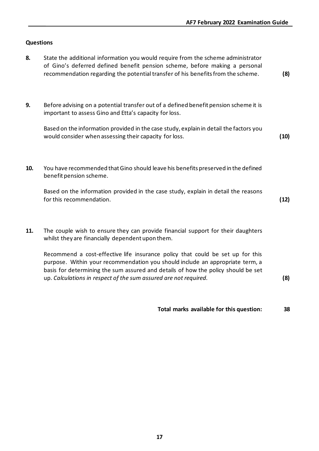#### **Questions**

- **8.** State the additional information you would require from the scheme administrator of Gino's deferred defined benefit pension scheme, before making a personal recommendation regarding the potential transfer of his benefits from the scheme. **(8)**
- **9.** Before advising on a potential transfer out of a defined benefit pension scheme it is important to assess Gino and Etta's capacity for loss.

Based on the information provided in the case study, explain in detail the factors you would consider when assessing their capacity for loss. **(10)**

**10.** You have recommended that Gino should leave his benefits preserved in the defined benefit pension scheme.

Based on the information provided in the case study, explain in detail the reasons for this recommendation. **(12)**

**11.** The couple wish to ensure they can provide financial support for their daughters whilst they are financially dependent upon them.

Recommend a cost-effective life insurance policy that could be set up for this purpose. Within your recommendation you should include an appropriate term, a basis for determining the sum assured and details of how the policy should be set up. *Calculations in respect of the sum assured are not required.* **(8)**

**Total marks available for this question: 38**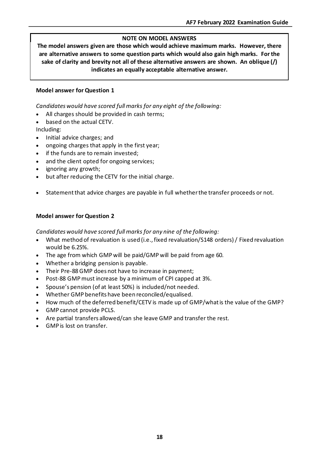#### **NOTE ON MODEL ANSWERS**

**The model answers given are those which would achieve maximum marks. However, there are alternative answers to some question parts which would also gain high marks. For the sake of clarity and brevity not all of these alternative answers are shown. An oblique (/) indicates an equally acceptable alternative answer.**

#### **Model answer for Question 1**

*Candidates would have scored full marks for any eight of the following:*

- All charges should be provided in cash terms;
- based on the actual CETV.

Including:

- Initial advice charges; and
- ongoing charges that apply in the first year;
- if the funds are to remain invested:
- and the client opted for ongoing services;
- ignoring any growth;
- but after reducing the CETV for the initial charge.
- Statement that advice charges are payable in full whether the transfer proceeds or not.

#### **Model answer for Question 2**

*Candidates would have scored full marks for any nine of the following:*

- What method of revaluation is used (i.e., fixed revaluation/S148 orders) / Fixed revaluation would be 6.25%.
- The age from which GMP will be paid/GMP will be paid from age 60.
- Whether a bridging pension is payable.
- Their Pre-88 GMP does not have to increase in payment;
- Post-88 GMP must increase by a minimum of CPI capped at 3%.
- Spouse's pension (of at least 50%) is included/not needed.
- Whether GMP benefits have been reconciled/equalised.
- How much of the deferred benefit/CETV is made up of GMP/what is the value of the GMP?
- GMP cannot provide PCLS.
- Are partial transfers allowed/can she leave GMP and transfer the rest.
- GMP is lost on transfer.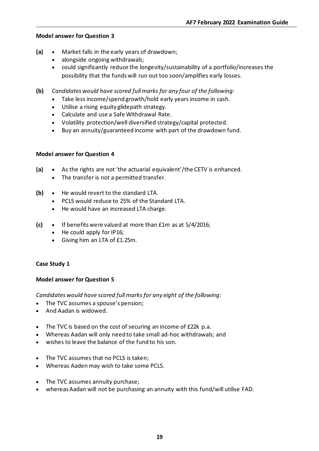- **(a)** Market falls in the early years of drawdown;
	- alongside ongoing withdrawals;
	- could significantly reduce the longevity/sustainability of a portfolio/increases the possibility that the funds will run out too soon/amplifies early losses.
- **(b)** *Candidates would have scored full marks for any four of the following:*
	- Take less income/spend growth/hold early years income in cash.
	- Utilise a rising equity glidepath strategy.
	- Calculate and use a Safe Withdrawal Rate.
	- Volatility protection/well diversified strategy/capital protected.
	- Buy an annuity/guaranteed income with part of the drawdown fund.

#### **Model answer for Question 4**

- **(a)** As the rights are not 'the actuarial equivalent'/the CETV is enhanced.
	- The transfer is not a permitted transfer.
- **(b)** He would revert to the standard LTA.
	- PCLS would reduce to 25% of the Standard LTA.
	- He would have an increased LTA charge.
- **(c)** If benefits were valued at more than £1m as at 5/4/2016;
	- He could apply for IP16;
	- Giving him an LTA of £1.25m.

#### **Case Study 1**

#### **Model answer for Question 5**

*Candidates would have scored full marks for any eight of the following:*

- The TVC assumes a spouse's pension;
- And Aadan is widowed.
- The TVC is based on the cost of securing an income of £22k p.a.
- Whereas Aadan will only need to take small ad-hoc withdrawals; and
- wishes to leave the balance of the fund to his son.
- The TVC assumes that no PCLS is taken;
- Whereas Aaden may wish to take some PCLS.
- The TVC assumes annuity purchase;
- whereas Aadan will not be purchasing an annuity with this fund/will utilise FAD.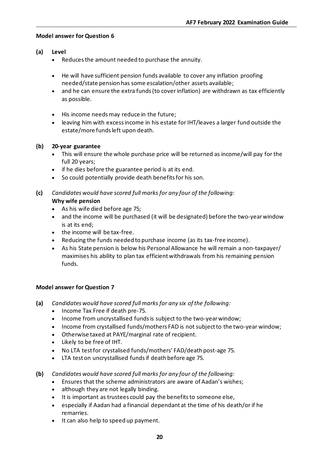- **(a) Level**
	- Reduces the amount needed to purchase the annuity.
	- He will have sufficient pension funds available to cover any inflation proofing needed/state pension has some escalation/other assets available;
	- and he can ensure the extra funds (to cover inflation) are withdrawn as tax efficiently as possible.
	- His income needs may reduce in the future;
	- leaving him with excess income in his estate for IHT/leaves a larger fund outside the estate/more funds left upon death.

#### **(b) 20-year guarantee**

- This will ensure the whole purchase price will be returned as income/will pay for the full 20 years;
- if he dies before the guarantee period is at its end.
- So could potentially provide death benefits for his son.
- **(c)** *Candidates would have scored full marks for any four of the following:* **Why wife pension**
	- As his wife died before age 75;
	- and the income will be purchased (it will be designated) before the two-year window is at its end;
	- the income will be tax-free.
	- Reducing the funds needed to purchase income (as its tax-free income).
	- As his State pension is below his Personal Allowance he will remain a non-taxpayer/ maximises his ability to plan tax efficient withdrawals from his remaining pension funds.

#### **Model answer for Question 7**

- **(a)** *Candidates would have scored full marks for any six of the following:*
	- Income Tax Free if death pre-75.
	- Income from uncrystallised funds is subject to the two-year window;
	- Income from crystallised funds/mothers FAD is not subject to the two-year window;
	- Otherwise taxed at PAYE/marginal rate of recipient.
	- Likely to be free of IHT.
	- No LTA test for crystalised funds/mothers' FAD/death post-age 75.
	- LTA test on uncrystallised funds if death before age 75.
- **(b)** *Candidates would have scored full marks for any four of the following:*
	- Ensures that the scheme administrators are aware of Aadan's wishes;
	- although they are not legally binding.
	- It is important as trustees could pay the benefits to someone else,
	- especially if Aadan had a financial dependant at the time of his death/or if he remarries.
	- It can also help to speed up payment.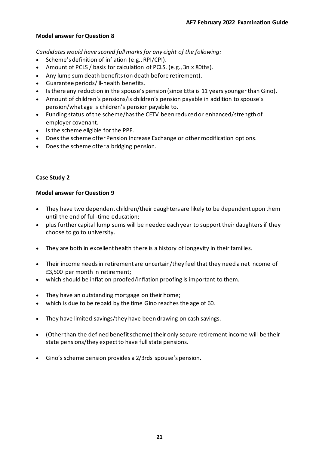*Candidates would have scored full marks for any eight of the following:*

- Scheme's definition of inflation (e.g., RPI/CPI).
- Amount of PCLS / basis for calculation of PCLS. (e.g., 3n x 80ths).
- Any lump sum death benefits (on death before retirement).
- Guarantee periods/ill-health benefits.
- Is there any reduction in the spouse's pension (since Etta is 11 years younger than Gino).
- Amount of children's pensions/is children's pension payable in addition to spouse's pension/what age is children's pension payable to.
- Funding status of the scheme/has the CETV been reduced or enhanced/strength of employer covenant.
- Is the scheme eligible for the PPF.
- Does the scheme offer Pension Increase Exchange or other modification options.
- Does the scheme offer a bridging pension.

#### **Case Study 2**

#### **Model answer for Question 9**

- They have two dependent children/their daughters are likely to be dependent upon them until the end of full-time education;
- plus further capital lump sums will be needed each year to support their daughters if they choose to go to university.
- They are both in excellent health there is a history of longevity in their families.
- Their income needs in retirement are uncertain/they feel that they need a net income of £3,500 per month in retirement;
- which should be inflation proofed/inflation proofing is important to them.
- They have an outstanding mortgage on their home;
- which is due to be repaid by the time Gino reaches the age of 60.
- They have limited savings/they have been drawing on cash savings.
- (Other than the defined benefit scheme) their only secure retirement income will be their state pensions/they expect to have full state pensions.
- Gino's scheme pension provides a 2/3rds spouse's pension.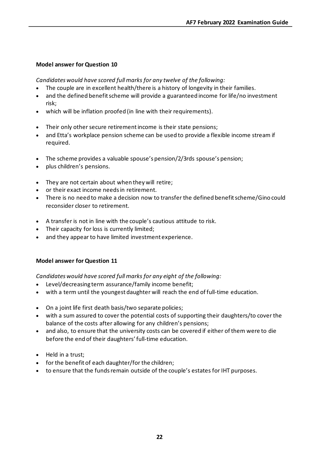*Candidates would have scored full marks for any twelve of the following:*

- The couple are in excellent health/there is a history of longevity in their families.
- and the defined benefit scheme will provide a guaranteed income for life/no investment risk;
- which will be inflation proofed (in line with their requirements).
- Their only other secure retirement income is their state pensions;
- and Etta's workplace pension scheme can be used to provide a flexible income stream if required.
- The scheme provides a valuable spouse's pension/2/3rds spouse's pension;
- plus children's pensions.
- They are not certain about when they will retire;
- or their exact income needs in retirement.
- There is no need to make a decision now to transfer the defined benefit scheme/Gino could reconsider closer to retirement.
- A transfer is not in line with the couple's cautious attitude to risk.
- Their capacity for loss is currently limited;
- and they appear to have limited investment experience.

#### **Model answer for Question 11**

*Candidates would have scored full marks for any eight of the following:*

- Level/decreasing term assurance/family income benefit;
- with a term until the youngest daughter will reach the end of full-time education.
- On a joint life first death basis/two separate policies;
- with a sum assured to cover the potential costs of supporting their daughters/to cover the balance of the costs after allowing for any children's pensions;
- and also, to ensure that the university costs can be covered if either of them were to die before the end of their daughters' full-time education.
- Held in a trust;
- for the benefit of each daughter/for the children;
- to ensure that the funds remain outside of the couple's estates for IHT purposes.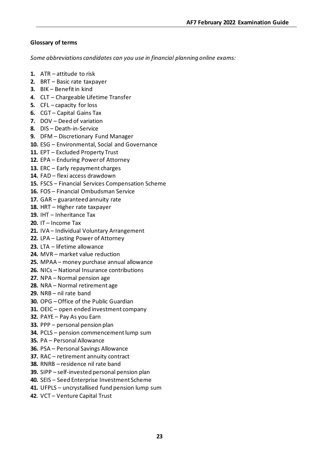#### **Glossary of terms**

*Some abbreviations candidates can you use in financial planning online exams:*

- **1.** ATR attitude to risk
- **2.** BRT Basic rate taxpayer
- **3.** BIK Benefit in kind
- **4.** CLT Chargeable Lifetime Transfer
- **5.** CFL capacity for loss
- **6.** CGT Capital Gains Tax
- **7.** DOV Deed of variation
- **8.** DIS Death-in-Service
- **9.** DFM Discretionary Fund Manager
- **10.** ESG Environmental, Social and Governance
- **11.** EPT Excluded Property Trust
- **12.** EPA Enduring Power of Attorney
- **13.** ERC Early repayment charges
- **14.** FAD flexi access drawdown
- **15.** FSCS Financial Services Compensation Scheme
- **16.** FOS Financial Ombudsman Service
- **17.** GAR guaranteed annuity rate
- **18.** HRT Higher rate taxpayer
- **19.** IHT Inheritance Tax
- **20.** IT Income Tax
- **21.** IVA Individual Voluntary Arrangement
- **22.** LPA Lasting Power of Attorney
- **23.** LTA lifetime allowance
- **24.** MVR market value reduction
- **25.** MPAA money purchase annual allowance
- **26.** NICs National Insurance contributions
- **27.** NPA Normal pension age
- **28.** NRA Normal retirement age
- **29.** NRB nil rate band
- **30.** OPG Office of the Public Guardian
- **31.** OEIC open ended investment company
- **32.** PAYE Pay As you Earn
- **33.** PPP personal pension plan
- **34.** PCLS pension commencement lump sum
- **35.** PA Personal Allowance
- **36.** PSA Personal Savings Allowance
- **37.** RAC retirement annuity contract
- **38.** RNRB residence nil rate band
- **39.** SIPP self-invested personal pension plan
- **40.** SEIS Seed Enterprise Investment Scheme
- **41.** UFPLS uncrystallised fund pension lump sum
- **42.** VCT Venture Capital Trust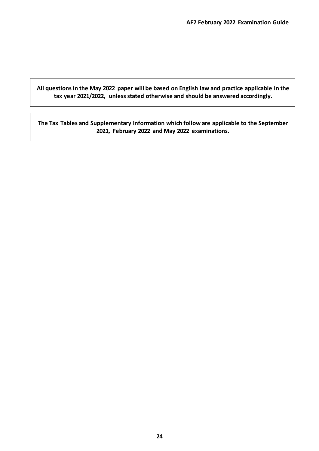**All questions in the May 2022 paper will be based on English law and practice applicable in the tax year 2021/2022, unless stated otherwise and should be answered accordingly.**

**The Tax Tables and Supplementary Information which follow are applicable to the September 2021, February 2022 and May 2022 examinations.**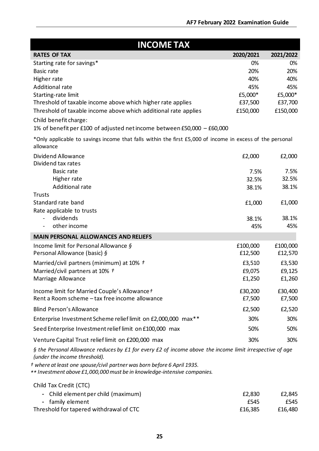| <b>INCOME TAX</b>                                                                                                                                   |              |           |
|-----------------------------------------------------------------------------------------------------------------------------------------------------|--------------|-----------|
| <b>RATES OF TAX</b>                                                                                                                                 | 2020/2021    | 2021/2022 |
| Starting rate for savings*                                                                                                                          | 0%           | 0%        |
| Basic rate                                                                                                                                          | 20%          | 20%       |
| Higher rate                                                                                                                                         | 40%          | 40%       |
| <b>Additional rate</b>                                                                                                                              | 45%          | 45%       |
| Starting-rate limit                                                                                                                                 | £5,000*      | £5,000*   |
| Threshold of taxable income above which higher rate applies                                                                                         | £37,500      | £37,700   |
| Threshold of taxable income above which additional rate applies                                                                                     | £150,000     | £150,000  |
| Child benefit charge:                                                                                                                               |              |           |
| 1% of benefit per £100 of adjusted net income between £50,000 $-$ £60,000                                                                           |              |           |
| *Only applicable to savings income that falls within the first £5,000 of income in excess of the personal<br>allowance                              |              |           |
| Dividend Allowance<br>Dividend tax rates                                                                                                            | £2,000       | £2,000    |
| Basic rate                                                                                                                                          | 7.5%         | 7.5%      |
| Higher rate                                                                                                                                         | 32.5%        | 32.5%     |
| <b>Additional rate</b>                                                                                                                              | 38.1%        | 38.1%     |
| <b>Trusts</b>                                                                                                                                       |              |           |
| Standard rate band                                                                                                                                  | £1,000       | £1,000    |
| Rate applicable to trusts<br>dividends                                                                                                              |              | 38.1%     |
| $\overline{\phantom{0}}$<br>other income                                                                                                            | 38.1%<br>45% | 45%       |
| <b>MAIN PERSONAL ALLOWANCES AND RELIEFS</b>                                                                                                         |              |           |
| Income limit for Personal Allowance $\delta$                                                                                                        | £100,000     | £100,000  |
| Personal Allowance (basic) §                                                                                                                        | £12,500      | £12,570   |
| Married/civil partners (minimum) at 10% t                                                                                                           | £3,510       | £3,530    |
| Married/civil partners at 10% +                                                                                                                     | £9,075       | £9,125    |
| Marriage Allowance                                                                                                                                  | £1,250       | £1,260    |
|                                                                                                                                                     |              |           |
| Income limit for Married Couple's Allowance +                                                                                                       | £30,200      | £30,400   |
| Rent a Room scheme - tax free income allowance                                                                                                      | £7,500       | £7,500    |
| <b>Blind Person's Allowance</b>                                                                                                                     | £2,500       | £2,520    |
| Enterprise Investment Scheme relief limit on £2,000,000 max**                                                                                       | 30%          | 30%       |
| Seed Enterprise Investment relief limit on £100,000 max                                                                                             | 50%          | 50%       |
| Venture Capital Trust relief limit on £200,000 max                                                                                                  | 30%          | 30%       |
| § the Personal Allowance reduces by £1 for every £2 of income above the income limit irrespective of age<br>(under the income threshold).           |              |           |
| t where at least one spouse/civil partner was born before 6 April 1935.<br>** Investment above £1,000,000 must be in knowledge-intensive companies. |              |           |
| Child Tax Credit (CTC)                                                                                                                              |              |           |

| - Child element per child (maximum)     | £2,830  | £2,845  |
|-----------------------------------------|---------|---------|
| - family element                        | £545    | £545    |
| Threshold for tapered withdrawal of CTC | £16,385 | £16,480 |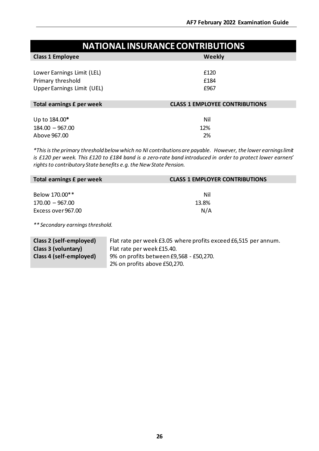| <b>NATIONAL INSURANCE CONTRIBUTIONS</b> |                                       |  |
|-----------------------------------------|---------------------------------------|--|
| <b>Class 1 Employee</b>                 | Weekly                                |  |
|                                         |                                       |  |
| Lower Earnings Limit (LEL)              | £120                                  |  |
| Primary threshold                       | £184                                  |  |
| <b>Upper Earnings Limit (UEL)</b>       | £967                                  |  |
|                                         |                                       |  |
| Total earnings £ per week               | <b>CLASS 1 EMPLOYEE CONTRIBUTIONS</b> |  |
|                                         |                                       |  |
| Up to 184.00*                           | Nil                                   |  |
| $184.00 - 967.00$                       | 12%                                   |  |
| Above 967.00                            | 2%                                    |  |

*\*Thisisthe primary threshold below which no NI contributionsare payable. However, the lower earningslimit is £120 per week. This £120 to £184 band is a zero-rate band introduced in order to protect lower earners' rights to contributory State benefits e.g. the New State Pension.* 

| Total earnings £ per week | <b>CLASS 1 EMPLOYER CONTRIBUTIONS</b> |
|---------------------------|---------------------------------------|
|                           |                                       |
| Below 170.00**            | Nil                                   |
| $170.00 - 967.00$         | 13.8%                                 |
| Excess over 967.00        | N/A                                   |
|                           |                                       |

*\*\* Secondary earningsthreshold.*

| Class 2 (self-employed) | Flat rate per week £3.05 where profits exceed £6,515 per annum. |  |
|-------------------------|-----------------------------------------------------------------|--|
| Class 3 (voluntary)     | Flat rate per week £15.40.                                      |  |
| Class 4 (self-employed) | 9% on profits between £9,568 - £50,270.                         |  |
|                         | 2% on profits above £50,270.                                    |  |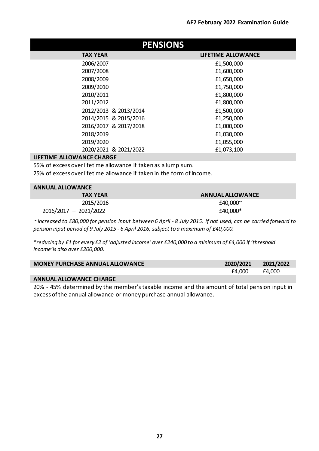| <b>PENSIONS</b>              |                           |  |
|------------------------------|---------------------------|--|
| <b>TAX YEAR</b>              | <b>LIFETIME ALLOWANCE</b> |  |
| 2006/2007                    | £1,500,000                |  |
| 2007/2008                    | £1,600,000                |  |
| 2008/2009                    | £1,650,000                |  |
| 2009/2010                    | £1,750,000                |  |
| 2010/2011                    | £1,800,000                |  |
| 2011/2012                    | £1,800,000                |  |
| 2012/2013 & 2013/2014        | £1,500,000                |  |
| 2014/2015 & 2015/2016        | £1,250,000                |  |
| 2016/2017 & 2017/2018        | £1,000,000                |  |
| 2018/2019                    | £1,030,000                |  |
| 2019/2020                    | £1,055,000                |  |
| 2020/2021 & 2021/2022        | £1,073,100                |  |
| LIFFTINAE ALLAMAANAE ALLADAE |                           |  |

#### **LIFETIME ALLOWANCE CHARGE**

55% of excess overlifetime allowance if taken as a lump sum.

25% of excess overlifetime allowance if taken in the form of income.

#### **ANNUAL ALLOWANCE**

| <b>TAX YEAR</b>         | <b>ANNUAL ALLOWANCE</b> |
|-------------------------|-------------------------|
| 2015/2016               | £40,000~                |
| $2016/2017 - 2021/2022$ | £40,000*                |

~ increased to £80,000 for pension input between 6 April - 8 July 2015. If not used, can be carried forward to *pension input period of 9 July 2015 - 6 April 2016, subject to a maximum of £40,000.*

*\*reducing by £1 for every £2 of 'adjusted income' over £240,000 to a minimum of £4,000 if 'threshold income'is also over £200,000.*

| <b>MONEY PURCHASE ANNUAL ALLOWANCE</b> | 2020/2021 | 2021/2022 |
|----------------------------------------|-----------|-----------|
|                                        | £4,000    | £4,000    |
|                                        |           |           |

**ANNUAL ALLOWANCE CHARGE**

20% - 45% determined by the member's taxable income and the amount of total pension input in excess of the annual allowance or money purchase annual allowance.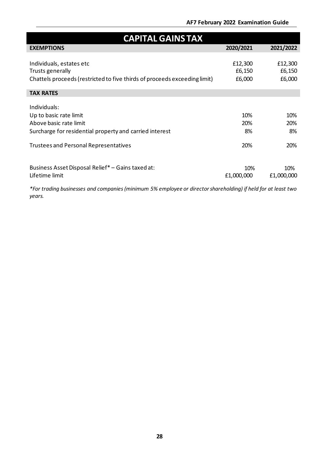### **AF7 February 2022 Examination Guide**

| <b>CAPITAL GAINS TAX</b>                                                  |            |            |  |
|---------------------------------------------------------------------------|------------|------------|--|
| <b>EXEMPTIONS</b>                                                         | 2020/2021  | 2021/2022  |  |
|                                                                           |            |            |  |
| Individuals, estates etc                                                  | £12,300    | £12,300    |  |
| Trusts generally                                                          | £6,150     | £6,150     |  |
| Chattels proceeds (restricted to five thirds of proceeds exceeding limit) | £6,000     | £6,000     |  |
|                                                                           |            |            |  |
| <b>TAX RATES</b>                                                          |            |            |  |
| Individuals:                                                              |            |            |  |
| Up to basic rate limit                                                    | 10%        | 10%        |  |
| Above basic rate limit                                                    | 20%        | 20%        |  |
| Surcharge for residential property and carried interest                   | 8%         | 8%         |  |
|                                                                           |            |            |  |
| <b>Trustees and Personal Representatives</b>                              | 20%        | 20%        |  |
|                                                                           |            |            |  |
| Business Asset Disposal Relief* - Gains taxed at:                         | 10%        | 10%        |  |
| Lifetime limit                                                            | £1,000,000 | £1,000,000 |  |
|                                                                           |            |            |  |

*\*For trading businesses and companies (minimum 5% employee or director shareholding) if held for at least two years.*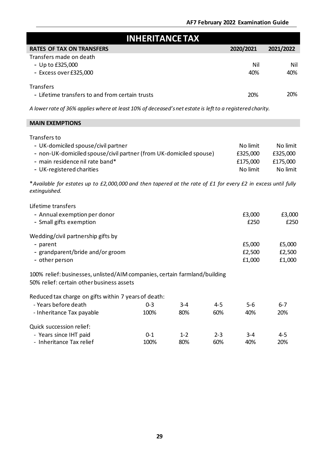|                                                                                                                                                                                           | <b>INHERITANCE TAX</b> |                |                |                                              |                                              |
|-------------------------------------------------------------------------------------------------------------------------------------------------------------------------------------------|------------------------|----------------|----------------|----------------------------------------------|----------------------------------------------|
| <b>RATES OF TAX ON TRANSFERS</b>                                                                                                                                                          |                        |                |                | 2020/2021                                    | 2021/2022                                    |
| Transfers made on death<br>- Up to £325,000<br>- Excess over £325,000                                                                                                                     |                        |                |                | Nil<br>40%                                   | Nil<br>40%                                   |
| <b>Transfers</b><br>- Lifetime transfers to and from certain trusts                                                                                                                       |                        |                |                | 20%                                          | 20%                                          |
| A lower rate of 36% applies where at least 10% of deceased's net estate is left to a registered charity.                                                                                  |                        |                |                |                                              |                                              |
| <b>MAIN EXEMPTIONS</b>                                                                                                                                                                    |                        |                |                |                                              |                                              |
| Transfers to<br>- UK-domiciled spouse/civil partner<br>- non-UK-domiciled spouse/civil partner (from UK-domiciled spouse)<br>- main residence nil rate band*<br>- UK-registered charities |                        |                |                | No limit<br>£325,000<br>£175,000<br>No limit | No limit<br>£325,000<br>£175,000<br>No limit |
| *Available for estates up to £2,000,000 and then tapered at the rate of £1 for every £2 in excess until fully<br>extinguished.                                                            |                        |                |                |                                              |                                              |
| Lifetime transfers<br>- Annual exemption per donor<br>- Small gifts exemption                                                                                                             |                        |                |                | £3,000<br>£250                               | £3,000<br>£250                               |
| Wedding/civil partnership gifts by<br>- parent<br>- grandparent/bride and/or groom<br>- other person                                                                                      |                        |                |                | £5,000<br>£2,500<br>£1,000                   | £5,000<br>£2,500<br>£1,000                   |
| 100% relief: businesses, unlisted/AIM companies, certain farmland/building<br>50% relief: certain other business assets                                                                   |                        |                |                |                                              |                                              |
| Reduced tax charge on gifts within 7 years of death:<br>- Years before death<br>- Inheritance Tax payable                                                                                 | $0 - 3$<br>100%        | 3-4<br>80%     | $4 - 5$<br>60% | $5-6$<br>40%                                 | $6 - 7$<br>20%                               |
| Quick succession relief:<br>- Years since IHT paid<br>- Inheritance Tax relief                                                                                                            | $0 - 1$<br>100%        | $1 - 2$<br>80% | $2 - 3$<br>60% | $3 - 4$<br>40%                               | $4 - 5$<br>20%                               |

I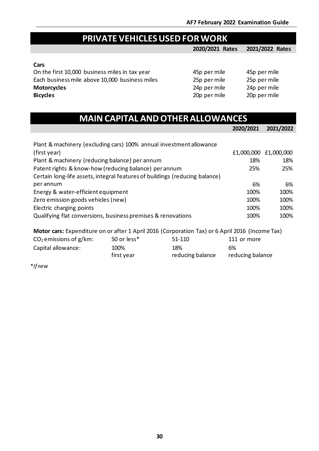# **PRIVATE VEHICLES USED FOR WORK**

**2020/2021 Rates 2021/2022 Rates**

#### **Cars**

On the first 10,000 business miles in tax year 45p per mile 45p per mile<br>Each business mile above 10,000 business miles 25p per mile 25p per mile Each business mile above 10,000 business miles 2<br>**2**<br>2 **Motorcycles** 24p per mile 24p per mile 24p per mile 24p per mile 24p per mile 20p per mile 20p per mile 20p per mile 20p per mile 20p per mile 20p per mile 20p per mile 20p per mile 20p per mile 20p per mile 20p per mile **Bicycles** 20p per mile 20p per mile

| 15p per mile | 45p p |
|--------------|-------|
| 5p per mile  | 25p p |
| 4p per mile  | 24p p |
| 20p per mile | 20p p |

| 25p per mile |
|--------------|
| 24p per mile |
| 20p per mile |

reducing balance

| <b>MAIN CAPITAL AND OTHER ALLOWANCES</b>                                                                                                                                                       |             |                                                                                                 |              |                                     |
|------------------------------------------------------------------------------------------------------------------------------------------------------------------------------------------------|-------------|-------------------------------------------------------------------------------------------------|--------------|-------------------------------------|
|                                                                                                                                                                                                |             |                                                                                                 | 2020/2021    | 2021/2022                           |
| Plant & machinery (excluding cars) 100% annual investment allowance<br>(first year)<br>Plant & machinery (reducing balance) per annum<br>Patent rights & know-how (reducing balance) per annum |             |                                                                                                 | 18%<br>25%   | £1,000,000 £1,000,000<br>18%<br>25% |
| Certain long-life assets, integral features of buildings (reducing balance)<br>per annum                                                                                                       |             |                                                                                                 | 6%           | 6%                                  |
| Energy & water-efficient equipment                                                                                                                                                             |             |                                                                                                 | 100%         | 100%                                |
| Zero emission goods vehicles (new)<br>Electric charging points                                                                                                                                 |             |                                                                                                 | 100%<br>100% | 100%<br>100%                        |
| Qualifying flat conversions, business premises & renovations                                                                                                                                   |             |                                                                                                 | 100%         | 100%                                |
|                                                                                                                                                                                                |             | Motor cars: Expenditure on or after 1 April 2016 (Corporation Tax) or 6 April 2016 (Income Tax) |              |                                     |
| $CO2$ emissions of g/km:                                                                                                                                                                       | 50 or less* | 51-110                                                                                          | 111 or more  |                                     |
| Capital allowance:                                                                                                                                                                             | 100%        | 18%                                                                                             | 6%           |                                     |

reducing balance

first year

\**Ifnew*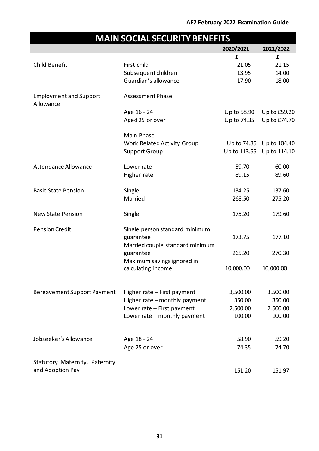# **MAIN SOCIAL SECURITYBENEFITS 2020/2021 2021/2022** Child Benefit First child **£** 21.05 **£** 21.15 Subsequent children 13.95 14.00 Guardian's allowance 17.90 18.00 Employment and Support Allowance Assessment Phase Age 16 - 24 Up to 58.90 Up to £59.20 Aged 25 or over Up to 74.35 Up to £74.70 Main Phase Work Related Activity Group Up to 74.35 Up to 104.40 Support Group Up to 113.55 Up to 114.10 Attendance Allowance Lower rate 59.70 60.00 Higher rate 89.15 89.60 Basic State Pension Single 134.25 137.60 Married 268.50 275.20 New State Pension Single 175.20 179.60 Pension Credit Single person standard minimum guarantee 173.75 177.10 Married couple standard minimum guarantee 265.20 270.30 Maximum savings ignored in calculating income 10,000.00 10,000.00 Bereavement Support Payment Higher rate – First payment 3,500.00 3,500.00 Higher rate – monthly payment 350.00 350.00 Lower rate – First payment 2,500.00 2,500.00 Lower rate – monthly payment 100.00 100.00 Jobseeker's Allowance Age 18 - 24 58.90 59.20 Age 25 or over 74.35 74.70 Statutory Maternity, Paternity and Adoption Pay 151.97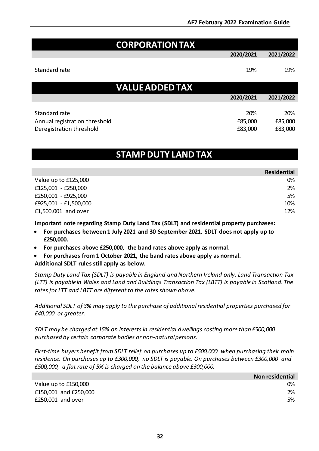| <b>CORPORATIONTAX</b>  |           |           |
|------------------------|-----------|-----------|
|                        | 2020/2021 | 2021/2022 |
| Standard rate          | 19%       | 19%       |
| <b>VALUE ADDED TAX</b> |           |           |
|                        | 2020/2021 | 2021/2022 |
| Standard rate          | 20%       | 20%       |

# **STAMP DUTY LANDTAX**

Annual registration threshold **E85,000** E85,000 £85,000 Deregistration threshold **E83,000** E83,000 £83,000 E83,000 £83,000 E83,000 E83,000

|                       | <b>Residential</b> |
|-----------------------|--------------------|
| Value up to £125,000  | 0%                 |
| £125,001 - £250,000   | 2%                 |
| £250,001 - £925,000   | 5%                 |
| £925,001 - £1,500,000 | 10%                |
| £1,500,001 and over   | 12%                |

**Important note regarding Stamp Duty Land Tax (SDLT) and residential property purchases:** 

- **For purchases between 1 July 2021 and 30 September 2021, SDLT does not apply up to £250,000.**
- **For purchases above £250,000, the band rates above apply as normal.**
- **For purchases from 1 October 2021, the band rates above apply as normal. Additional SDLT rules still apply as below.**

*Stamp Duty Land Tax (SDLT) is payable in England and Northern Ireland only. Land Transaction Tax (LTT) is payable in Wales and Land and Buildings Transaction Tax (LBTT) is payable in Scotland. The rates for LTT and LBTT are different to the rates shown above.*

*Additional SDLT of 3% may apply to the purchase of additional residential properties purchased for £40,000 or greater.*

*SDLT may be charged at 15% on interests in residential dwellings costing more than £500,000 purchased by certain corporate bodies or non-naturalpersons.*

*First-time buyers benefit from SDLT relief on purchases up to £500,000 when purchasing their main residence. On purchases up to £300,000, no SDLT is payable. On purchases between £300,000 and £500,000, a flat rate of 5% is charged on the balance above £300,000.*

|                       | Non residential |
|-----------------------|-----------------|
| Value up to £150,000  | 0%              |
| £150,001 and £250,000 | 2%              |
| £250,001 and over     | 5%              |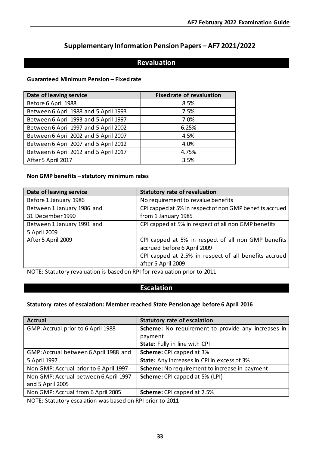# **Supplementary Information Pension Papers – AF7 2021/2022**

# **Revaluation**

#### **Guaranteed Minimum Pension – Fixed rate**

| Date of leaving service               | <b>Fixed rate of revaluation</b> |
|---------------------------------------|----------------------------------|
| Before 6 April 1988                   | 8.5%                             |
| Between 6 April 1988 and 5 April 1993 | 7.5%                             |
| Between 6 April 1993 and 5 April 1997 | 7.0%                             |
| Between 6 April 1997 and 5 April 2002 | 6.25%                            |
| Between 6 April 2002 and 5 April 2007 | 4.5%                             |
| Between 6 April 2007 and 5 April 2012 | 4.0%                             |
| Between 6 April 2012 and 5 April 2017 | 4.75%                            |
| After 5 April 2017                    | 3.5%                             |

#### **Non GMP benefits – statutory minimum rates**

| Date of leaving service    | <b>Statutory rate of revaluation</b>                    |
|----------------------------|---------------------------------------------------------|
| Before 1 January 1986      | No requirement to revalue benefits                      |
| Between 1 January 1986 and | CPI capped at 5% in respect of non GMP benefits accrued |
| 31 December 1990           | from 1 January 1985                                     |
| Between 1 January 1991 and | CPI capped at 5% in respect of all non GMP benefits     |
| 5 April 2009               |                                                         |
| After 5 April 2009         | CPI capped at 5% in respect of all non GMP benefits     |
|                            | accrued before 6 April 2009                             |
|                            | CPI capped at 2.5% in respect of all benefits accrued   |
|                            | after 5 April 2009                                      |

NOTE: Statutory revaluation is based on RPI for revaluation prior to 2011

### **Escalation**

#### **Statutory rates of escalation: Member reached State Pension age before 6 April 2016**

| <b>Accrual</b>                         | <b>Statutory rate of escalation</b>                |
|----------------------------------------|----------------------------------------------------|
| GMP: Accrual prior to 6 April 1988     | Scheme: No requirement to provide any increases in |
|                                        | payment                                            |
|                                        | State: Fully in line with CPI                      |
| GMP: Accrual between 6 April 1988 and  | Scheme: CPI capped at 3%                           |
| 5 April 1997                           | State: Any increases in CPI in excess of 3%        |
| Non GMP: Accrual prior to 6 April 1997 | Scheme: No requirement to increase in payment      |
| Non GMP: Accrual between 6 April 1997  | Scheme: CPI capped at 5% (LPI)                     |
| and 5 April 2005                       |                                                    |
| Non GMP: Accrual from 6 April 2005     | Scheme: CPI capped at 2.5%                         |

NOTE: Statutory escalation was based on RPI prior to 2011